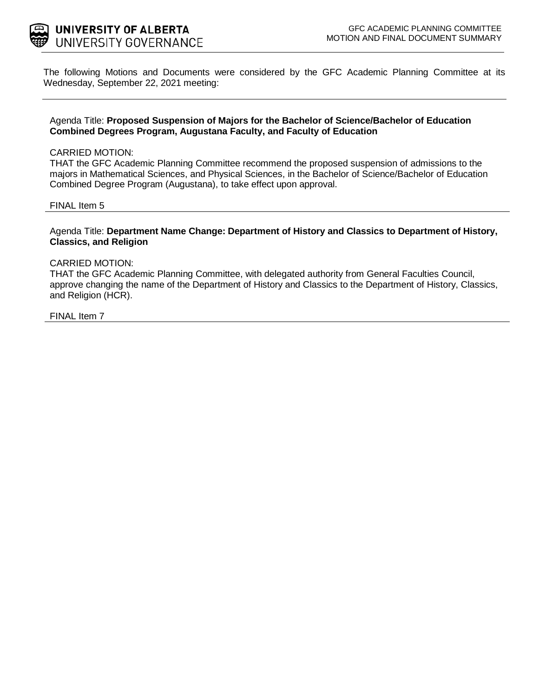

The following Motions and Documents were considered by the GFC Academic Planning Committee at its Wednesday, September 22, 2021 meeting:

#### Agenda Title: **Proposed Suspension of Majors for the Bachelor of Science/Bachelor of Education Combined Degrees Program, Augustana Faculty, and Faculty of Education**

#### CARRIED MOTION:

THAT the GFC Academic Planning Committee recommend the proposed suspension of admissions to the majors in Mathematical Sciences, and Physical Sciences, in the Bachelor of Science/Bachelor of Education Combined Degree Program (Augustana), to take effect upon approval.

#### FINAL Item 5

#### Agenda Title: **Department Name Change: Department of History and Classics to Department of History, Classics, and Religion**

#### CARRIED MOTION:

THAT the GFC Academic Planning Committee, with delegated authority from General Faculties Council, approve changing the name of the Department of History and Classics to the Department of History, Classics, and Religion (HCR).

#### FINAL Item 7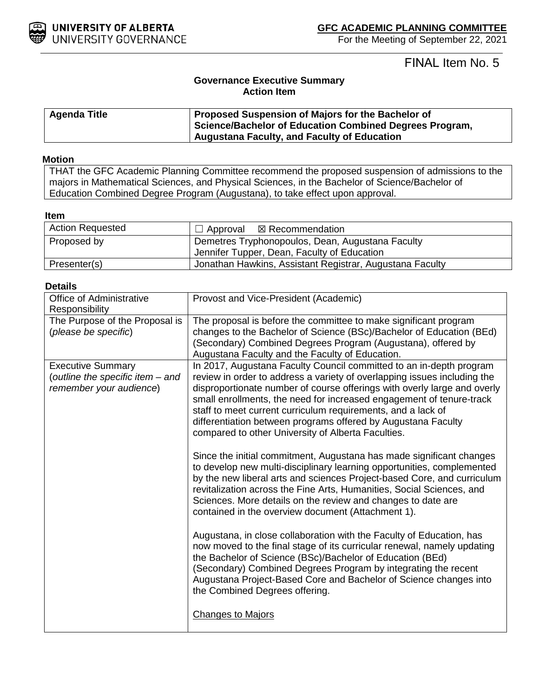

FINAL Item No. 5

### **Governance Executive Summary Action Item**

| Agenda Title | Proposed Suspension of Majors for the Bachelor of       |
|--------------|---------------------------------------------------------|
|              | Science/Bachelor of Education Combined Degrees Program, |
|              | Augustana Faculty, and Faculty of Education             |

#### **Motion**

THAT the GFC Academic Planning Committee recommend the proposed suspension of admissions to the majors in Mathematical Sciences, and Physical Sciences, in the Bachelor of Science/Bachelor of Education Combined Degree Program (Augustana), to take effect upon approval.

#### **Item**

| <b>Action Requested</b> | $\Box$ Approval $\boxtimes$ Recommendation               |
|-------------------------|----------------------------------------------------------|
| Proposed by             | <b>Demetres Tryphonopoulos, Dean, Augustana Faculty</b>  |
|                         | Jennifer Tupper, Dean, Faculty of Education              |
| Presenter(s)            | Jonathan Hawkins, Assistant Registrar, Augustana Faculty |

#### **Details**

| Office of Administrative<br>Responsibility                                              | Provost and Vice-President (Academic)                                                                                                                                                                                                                                                                                                                                                                                                                                                      |
|-----------------------------------------------------------------------------------------|--------------------------------------------------------------------------------------------------------------------------------------------------------------------------------------------------------------------------------------------------------------------------------------------------------------------------------------------------------------------------------------------------------------------------------------------------------------------------------------------|
| The Purpose of the Proposal is<br>(please be specific)                                  | The proposal is before the committee to make significant program<br>changes to the Bachelor of Science (BSc)/Bachelor of Education (BEd)<br>(Secondary) Combined Degrees Program (Augustana), offered by<br>Augustana Faculty and the Faculty of Education.                                                                                                                                                                                                                                |
| <b>Executive Summary</b><br>(outline the specific item - and<br>remember your audience) | In 2017, Augustana Faculty Council committed to an in-depth program<br>review in order to address a variety of overlapping issues including the<br>disproportionate number of course offerings with overly large and overly<br>small enrollments, the need for increased engagement of tenure-track<br>staff to meet current curriculum requirements, and a lack of<br>differentiation between programs offered by Augustana Faculty<br>compared to other University of Alberta Faculties. |
|                                                                                         | Since the initial commitment, Augustana has made significant changes<br>to develop new multi-disciplinary learning opportunities, complemented<br>by the new liberal arts and sciences Project-based Core, and curriculum<br>revitalization across the Fine Arts, Humanities, Social Sciences, and<br>Sciences. More details on the review and changes to date are<br>contained in the overview document (Attachment 1).                                                                   |
|                                                                                         | Augustana, in close collaboration with the Faculty of Education, has<br>now moved to the final stage of its curricular renewal, namely updating<br>the Bachelor of Science (BSc)/Bachelor of Education (BEd)<br>(Secondary) Combined Degrees Program by integrating the recent<br>Augustana Project-Based Core and Bachelor of Science changes into<br>the Combined Degrees offering.                                                                                                      |
|                                                                                         | <b>Changes to Majors</b>                                                                                                                                                                                                                                                                                                                                                                                                                                                                   |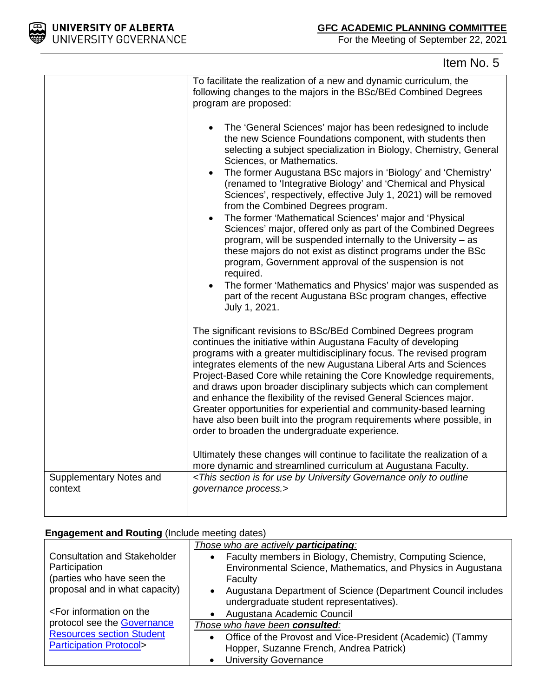

# Item No. 5

|                                    | To facilitate the realization of a new and dynamic curriculum, the<br>following changes to the majors in the BSc/BEd Combined Degrees<br>program are proposed:<br>The 'General Sciences' major has been redesigned to include<br>$\bullet$<br>the new Science Foundations component, with students then<br>selecting a subject specialization in Biology, Chemistry, General<br>Sciences, or Mathematics.<br>The former Augustana BSc majors in 'Biology' and 'Chemistry'<br>$\bullet$<br>(renamed to 'Integrative Biology' and 'Chemical and Physical<br>Sciences', respectively, effective July 1, 2021) will be removed<br>from the Combined Degrees program.<br>The former 'Mathematical Sciences' major and 'Physical<br>Sciences' major, offered only as part of the Combined Degrees<br>program, will be suspended internally to the University - as<br>these majors do not exist as distinct programs under the BSc<br>program, Government approval of the suspension is not |
|------------------------------------|--------------------------------------------------------------------------------------------------------------------------------------------------------------------------------------------------------------------------------------------------------------------------------------------------------------------------------------------------------------------------------------------------------------------------------------------------------------------------------------------------------------------------------------------------------------------------------------------------------------------------------------------------------------------------------------------------------------------------------------------------------------------------------------------------------------------------------------------------------------------------------------------------------------------------------------------------------------------------------------|
|                                    | required.<br>The former 'Mathematics and Physics' major was suspended as<br>$\bullet$<br>part of the recent Augustana BSc program changes, effective<br>July 1, 2021.                                                                                                                                                                                                                                                                                                                                                                                                                                                                                                                                                                                                                                                                                                                                                                                                                |
|                                    | The significant revisions to BSc/BEd Combined Degrees program<br>continues the initiative within Augustana Faculty of developing<br>programs with a greater multidisciplinary focus. The revised program<br>integrates elements of the new Augustana Liberal Arts and Sciences<br>Project-Based Core while retaining the Core Knowledge requirements,<br>and draws upon broader disciplinary subjects which can complement<br>and enhance the flexibility of the revised General Sciences major.<br>Greater opportunities for experiential and community-based learning<br>have also been built into the program requirements where possible, in<br>order to broaden the undergraduate experience.                                                                                                                                                                                                                                                                                   |
|                                    | Ultimately these changes will continue to facilitate the realization of a<br>more dynamic and streamlined curriculum at Augustana Faculty.                                                                                                                                                                                                                                                                                                                                                                                                                                                                                                                                                                                                                                                                                                                                                                                                                                           |
| Supplementary Notes and<br>context | <this by="" for="" governance="" is="" only="" outline<br="" section="" to="" university="" use="">governance process.&gt;</this>                                                                                                                                                                                                                                                                                                                                                                                                                                                                                                                                                                                                                                                                                                                                                                                                                                                    |

### **Engagement and Routing (Include meeting dates)**

|                                                                                   | Those who are actively <b>participating</b> :                                                           |
|-----------------------------------------------------------------------------------|---------------------------------------------------------------------------------------------------------|
| <b>Consultation and Stakeholder</b>                                               | Faculty members in Biology, Chemistry, Computing Science,                                               |
| Participation                                                                     | Environmental Science, Mathematics, and Physics in Augustana                                            |
| (parties who have seen the                                                        | Faculty                                                                                                 |
| proposal and in what capacity)                                                    | Augustana Department of Science (Department Council includes<br>undergraduate student representatives). |
| <for information="" on="" td="" the<=""><td>Augustana Academic Council</td></for> | Augustana Academic Council                                                                              |
| protocol see the Governance                                                       | Those who have been consulted:                                                                          |
| <b>Resources section Student</b>                                                  | Office of the Provost and Vice-President (Academic) (Tammy<br>$\bullet$                                 |
| <b>Participation Protocol&gt;</b>                                                 | Hopper, Suzanne French, Andrea Patrick)                                                                 |
|                                                                                   | <b>University Governance</b><br>$\bullet$                                                               |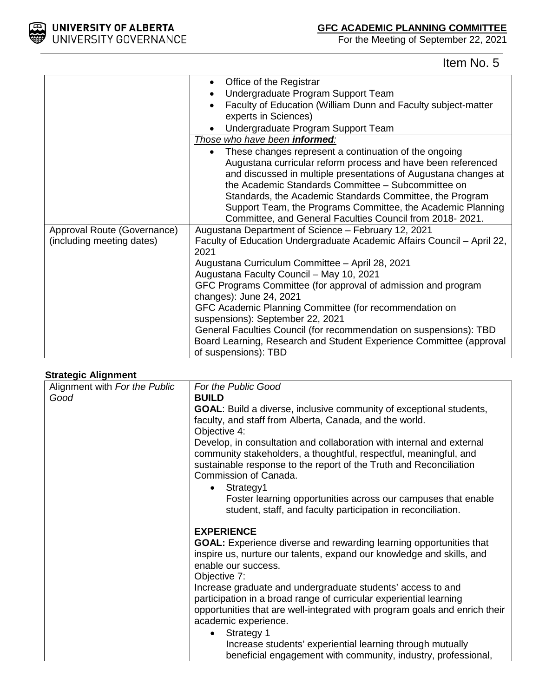

Item No. 5

|                             | Office of the Registrar                                                                                                                                                                                                                                                                                                                                                                                                               |
|-----------------------------|---------------------------------------------------------------------------------------------------------------------------------------------------------------------------------------------------------------------------------------------------------------------------------------------------------------------------------------------------------------------------------------------------------------------------------------|
|                             | Undergraduate Program Support Team                                                                                                                                                                                                                                                                                                                                                                                                    |
|                             | Faculty of Education (William Dunn and Faculty subject-matter                                                                                                                                                                                                                                                                                                                                                                         |
|                             | experts in Sciences)                                                                                                                                                                                                                                                                                                                                                                                                                  |
|                             | Undergraduate Program Support Team                                                                                                                                                                                                                                                                                                                                                                                                    |
|                             | Those who have been informed:                                                                                                                                                                                                                                                                                                                                                                                                         |
|                             | These changes represent a continuation of the ongoing<br>Augustana curricular reform process and have been referenced<br>and discussed in multiple presentations of Augustana changes at<br>the Academic Standards Committee - Subcommittee on<br>Standards, the Academic Standards Committee, the Program<br>Support Team, the Programs Committee, the Academic Planning<br>Committee, and General Faculties Council from 2018-2021. |
| Approval Route (Governance) | Augustana Department of Science - February 12, 2021                                                                                                                                                                                                                                                                                                                                                                                   |
| (including meeting dates)   | Faculty of Education Undergraduate Academic Affairs Council - April 22,<br>2021                                                                                                                                                                                                                                                                                                                                                       |
|                             | Augustana Curriculum Committee - April 28, 2021                                                                                                                                                                                                                                                                                                                                                                                       |
|                             | Augustana Faculty Council - May 10, 2021                                                                                                                                                                                                                                                                                                                                                                                              |
|                             | GFC Programs Committee (for approval of admission and program                                                                                                                                                                                                                                                                                                                                                                         |
|                             | changes): June 24, 2021                                                                                                                                                                                                                                                                                                                                                                                                               |
|                             | GFC Academic Planning Committee (for recommendation on                                                                                                                                                                                                                                                                                                                                                                                |
|                             | suspensions): September 22, 2021                                                                                                                                                                                                                                                                                                                                                                                                      |
|                             | General Faculties Council (for recommendation on suspensions): TBD<br>Board Learning, Research and Student Experience Committee (approval<br>of suspensions): TBD                                                                                                                                                                                                                                                                     |

#### **Strategic Alignment**

| - a - - - - a - - - - - -<br>Alignment with For the Public | For the Public Good                                                                                                                                                                                                                       |
|------------------------------------------------------------|-------------------------------------------------------------------------------------------------------------------------------------------------------------------------------------------------------------------------------------------|
| Good                                                       | <b>BUILD</b>                                                                                                                                                                                                                              |
|                                                            | <b>GOAL:</b> Build a diverse, inclusive community of exceptional students,<br>faculty, and staff from Alberta, Canada, and the world.<br>Objective 4:                                                                                     |
|                                                            | Develop, in consultation and collaboration with internal and external<br>community stakeholders, a thoughtful, respectful, meaningful, and<br>sustainable response to the report of the Truth and Reconciliation<br>Commission of Canada. |
|                                                            | Strategy1<br>٠                                                                                                                                                                                                                            |
|                                                            | Foster learning opportunities across our campuses that enable<br>student, staff, and faculty participation in reconciliation.                                                                                                             |
|                                                            | <b>EXPERIENCE</b>                                                                                                                                                                                                                         |
|                                                            | <b>GOAL:</b> Experience diverse and rewarding learning opportunities that<br>inspire us, nurture our talents, expand our knowledge and skills, and<br>enable our success.<br>Objective 7:                                                 |
|                                                            | Increase graduate and undergraduate students' access to and<br>participation in a broad range of curricular experiential learning<br>opportunities that are well-integrated with program goals and enrich their<br>academic experience.   |
|                                                            | Strategy 1                                                                                                                                                                                                                                |
|                                                            | Increase students' experiential learning through mutually                                                                                                                                                                                 |
|                                                            | beneficial engagement with community, industry, professional,                                                                                                                                                                             |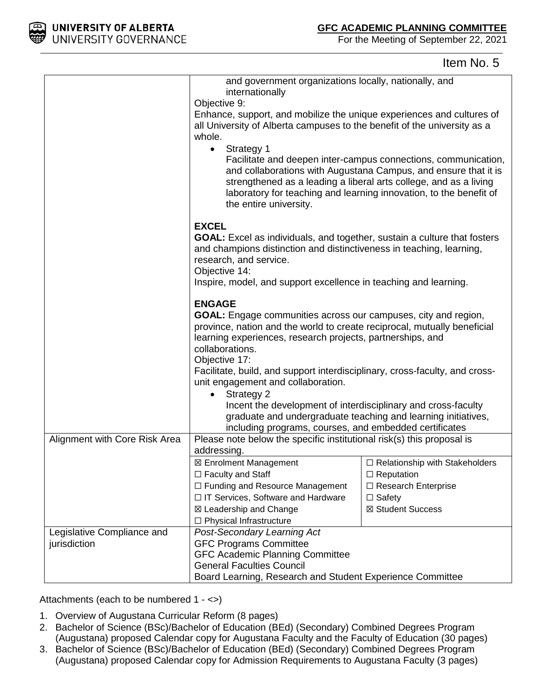

### Item No. 5

|                               | and government organizations locally, nationally, and<br>internationally                                          |                                                                                                                                                                                                         |
|-------------------------------|-------------------------------------------------------------------------------------------------------------------|---------------------------------------------------------------------------------------------------------------------------------------------------------------------------------------------------------|
|                               | Objective 9:                                                                                                      |                                                                                                                                                                                                         |
|                               | Enhance, support, and mobilize the unique experiences and cultures of                                             |                                                                                                                                                                                                         |
|                               | all University of Alberta campuses to the benefit of the university as a                                          |                                                                                                                                                                                                         |
|                               | whole.                                                                                                            |                                                                                                                                                                                                         |
|                               | Strategy 1<br>$\bullet$                                                                                           |                                                                                                                                                                                                         |
|                               | strengthened as a leading a liberal arts college, and as a living<br>the entire university.                       | Facilitate and deepen inter-campus connections, communication,<br>and collaborations with Augustana Campus, and ensure that it is<br>laboratory for teaching and learning innovation, to the benefit of |
|                               | <b>EXCEL</b><br><b>GOAL:</b> Excel as individuals, and together, sustain a culture that fosters                   |                                                                                                                                                                                                         |
|                               | and champions distinction and distinctiveness in teaching, learning,<br>research, and service.                    |                                                                                                                                                                                                         |
|                               | Objective 14:                                                                                                     |                                                                                                                                                                                                         |
|                               | Inspire, model, and support excellence in teaching and learning.                                                  |                                                                                                                                                                                                         |
|                               | <b>ENGAGE</b>                                                                                                     |                                                                                                                                                                                                         |
|                               | GOAL: Engage communities across our campuses, city and region,                                                    |                                                                                                                                                                                                         |
|                               | province, nation and the world to create reciprocal, mutually beneficial                                          |                                                                                                                                                                                                         |
|                               | learning experiences, research projects, partnerships, and                                                        |                                                                                                                                                                                                         |
|                               | collaborations.                                                                                                   |                                                                                                                                                                                                         |
|                               | Objective 17:                                                                                                     |                                                                                                                                                                                                         |
|                               | Facilitate, build, and support interdisciplinary, cross-faculty, and cross-<br>unit engagement and collaboration. |                                                                                                                                                                                                         |
|                               | <b>Strategy 2</b><br>$\bullet$                                                                                    |                                                                                                                                                                                                         |
|                               | Incent the development of interdisciplinary and cross-faculty                                                     |                                                                                                                                                                                                         |
|                               | graduate and undergraduate teaching and learning initiatives,                                                     |                                                                                                                                                                                                         |
|                               | including programs, courses, and embedded certificates                                                            |                                                                                                                                                                                                         |
| Alignment with Core Risk Area | Please note below the specific institutional risk(s) this proposal is                                             |                                                                                                                                                                                                         |
|                               | addressing.                                                                                                       |                                                                                                                                                                                                         |
|                               | ⊠ Enrolment Management                                                                                            | $\Box$ Relationship with Stakeholders                                                                                                                                                                   |
|                               | $\Box$ Faculty and Staff                                                                                          | $\Box$ Reputation                                                                                                                                                                                       |
|                               | $\Box$ Funding and Resource Management                                                                            | □ Research Enterprise                                                                                                                                                                                   |
|                               | □ IT Services, Software and Hardware                                                                              | $\Box$ Safety                                                                                                                                                                                           |
|                               | ⊠ Leadership and Change                                                                                           | ⊠ Student Success                                                                                                                                                                                       |
|                               | $\Box$ Physical Infrastructure                                                                                    |                                                                                                                                                                                                         |
| Legislative Compliance and    | Post-Secondary Learning Act                                                                                       |                                                                                                                                                                                                         |
| jurisdiction                  | <b>GFC Programs Committee</b>                                                                                     |                                                                                                                                                                                                         |
|                               | <b>GFC Academic Planning Committee</b>                                                                            |                                                                                                                                                                                                         |
|                               | <b>General Faculties Council</b><br>Board Learning, Research and Student Experience Committee                     |                                                                                                                                                                                                         |
|                               |                                                                                                                   |                                                                                                                                                                                                         |

Attachments (each to be numbered 1 - <>)

- 1. Overview of Augustana Curricular Reform (8 pages)
- 2. Bachelor of Science (BSc)/Bachelor of Education (BEd) (Secondary) Combined Degrees Program (Augustana) proposed Calendar copy for Augustana Faculty and the Faculty of Education (30 pages)
- 3. Bachelor of Science (BSc)/Bachelor of Education (BEd) (Secondary) Combined Degrees Program (Augustana) proposed Calendar copy for Admission Requirements to Augustana Faculty (3 pages)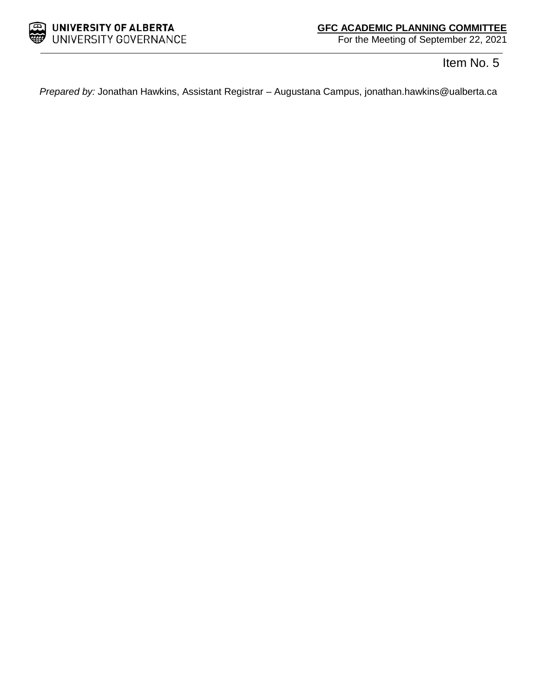

Item No. 5

*Prepared by:* Jonathan Hawkins, Assistant Registrar – Augustana Campus, jonathan.hawkins@ualberta.ca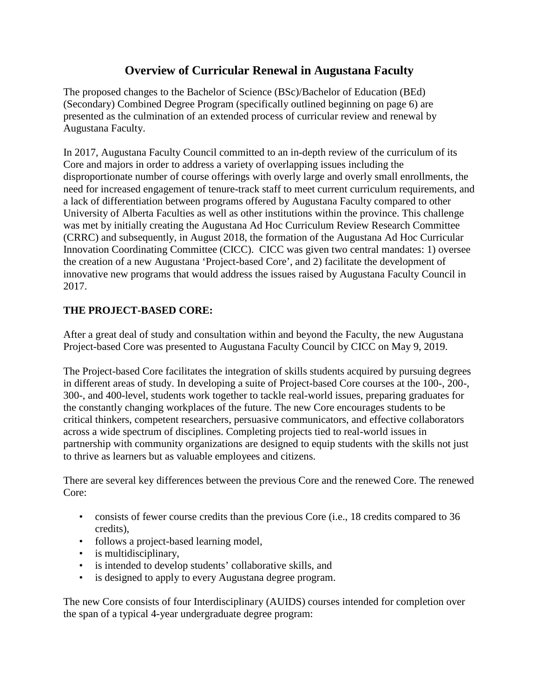## **Overview of Curricular Renewal in Augustana Faculty**

The proposed changes to the Bachelor of Science (BSc)/Bachelor of Education (BEd) (Secondary) Combined Degree Program (specifically outlined beginning on page 6) are presented as the culmination of an extended process of curricular review and renewal by Augustana Faculty.

In 2017, Augustana Faculty Council committed to an in-depth review of the curriculum of its Core and majors in order to address a variety of overlapping issues including the disproportionate number of course offerings with overly large and overly small enrollments, the need for increased engagement of tenure-track staff to meet current curriculum requirements, and a lack of differentiation between programs offered by Augustana Faculty compared to other University of Alberta Faculties as well as other institutions within the province. This challenge was met by initially creating the Augustana Ad Hoc Curriculum Review Research Committee (CRRC) and subsequently, in August 2018, the formation of the Augustana Ad Hoc Curricular Innovation Coordinating Committee (CICC). CICC was given two central mandates: 1) oversee the creation of a new Augustana 'Project-based Core', and 2) facilitate the development of innovative new programs that would address the issues raised by Augustana Faculty Council in 2017.

### **THE PROJECT-BASED CORE:**

After a great deal of study and consultation within and beyond the Faculty, the new Augustana Project-based Core was presented to Augustana Faculty Council by CICC on May 9, 2019.

The Project-based Core facilitates the integration of skills students acquired by pursuing degrees in different areas of study. In developing a suite of Project-based Core courses at the 100-, 200-, 300-, and 400-level, students work together to tackle real-world issues, preparing graduates for the constantly changing workplaces of the future. The new Core encourages students to be critical thinkers, competent researchers, persuasive communicators, and effective collaborators across a wide spectrum of disciplines. Completing projects tied to real-world issues in partnership with community organizations are designed to equip students with the skills not just to thrive as learners but as valuable employees and citizens.

There are several key differences between the previous Core and the renewed Core. The renewed Core:

- consists of fewer course credits than the previous Core (i.e., 18 credits compared to 36 credits),
- follows a project-based learning model,
- is multidisciplinary,
- is intended to develop students' collaborative skills, and
- is designed to apply to every Augustana degree program.

The new Core consists of four Interdisciplinary (AUIDS) courses intended for completion over the span of a typical 4-year undergraduate degree program: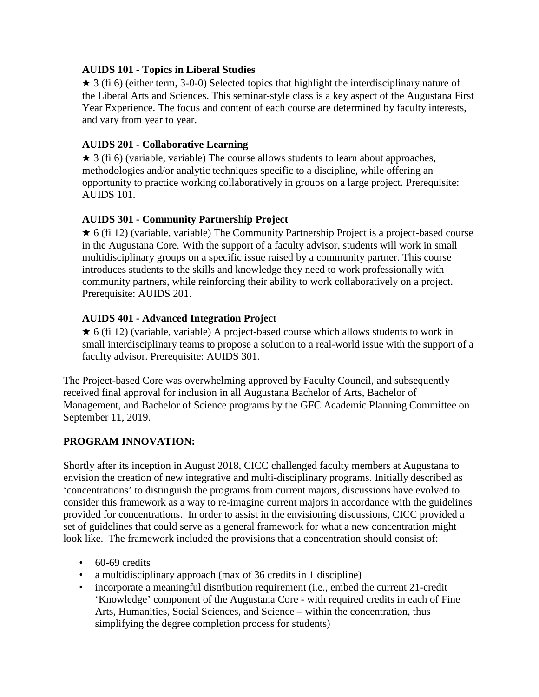### **AUIDS 101 - Topics in Liberal Studies**

 $\star$  3 (fi 6) (either term, 3-0-0) Selected topics that highlight the interdisciplinary nature of the Liberal Arts and Sciences. This seminar-style class is a key aspect of the Augustana First Year Experience. The focus and content of each course are determined by faculty interests, and vary from year to year.

### **AUIDS 201 - Collaborative Learning**

 $\star$  3 (fi 6) (variable, variable) The course allows students to learn about approaches, methodologies and/or analytic techniques specific to a discipline, while offering an opportunity to practice working collaboratively in groups on a large project. Prerequisite: AUIDS 101.

### **AUIDS 301 - Community Partnership Project**

★ 6 (fi 12) (variable, variable) The Community Partnership Project is a project-based course in the Augustana Core. With the support of a faculty advisor, students will work in small multidisciplinary groups on a specific issue raised by a community partner. This course introduces students to the skills and knowledge they need to work professionally with community partners, while reinforcing their ability to work collaboratively on a project. Prerequisite: AUIDS 201.

### **AUIDS 401 - Advanced Integration Project**

 $\star$  6 (fi 12) (variable, variable) A project-based course which allows students to work in small interdisciplinary teams to propose a solution to a real-world issue with the support of a faculty advisor. Prerequisite: AUIDS 301.

The Project-based Core was overwhelming approved by Faculty Council, and subsequently received final approval for inclusion in all Augustana Bachelor of Arts, Bachelor of Management, and Bachelor of Science programs by the GFC Academic Planning Committee on September 11, 2019.

### **PROGRAM INNOVATION:**

Shortly after its inception in August 2018, CICC challenged faculty members at Augustana to envision the creation of new integrative and multi-disciplinary programs. Initially described as 'concentrations' to distinguish the programs from current majors, discussions have evolved to consider this framework as a way to re-imagine current majors in accordance with the guidelines provided for concentrations. In order to assist in the envisioning discussions, CICC provided a set of guidelines that could serve as a general framework for what a new concentration might look like. The framework included the provisions that a concentration should consist of:

- 60-69 credits
- a multidisciplinary approach (max of 36 credits in 1 discipline)
- incorporate a meaningful distribution requirement (i.e., embed the current 21-credit 'Knowledge' component of the Augustana Core - with required credits in each of Fine Arts, Humanities, Social Sciences, and Science – within the concentration, thus simplifying the degree completion process for students)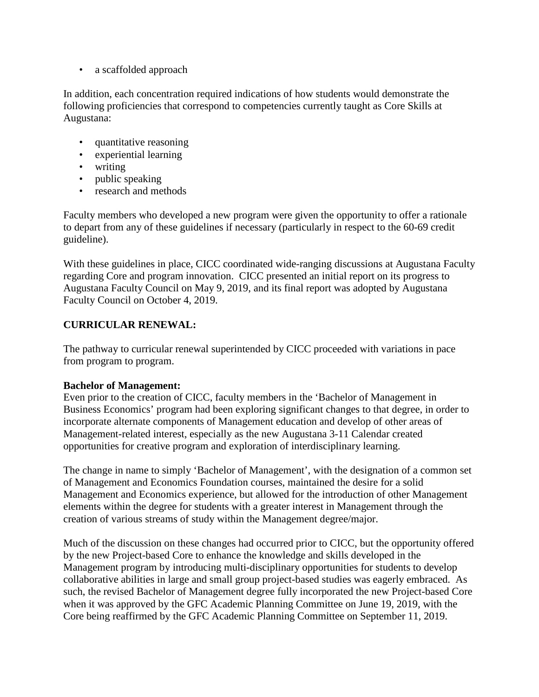• a scaffolded approach

In addition, each concentration required indications of how students would demonstrate the following proficiencies that correspond to competencies currently taught as Core Skills at Augustana:

- quantitative reasoning
- experiential learning
- writing
- public speaking
- research and methods

Faculty members who developed a new program were given the opportunity to offer a rationale to depart from any of these guidelines if necessary (particularly in respect to the 60-69 credit guideline).

With these guidelines in place, CICC coordinated wide-ranging discussions at Augustana Faculty regarding Core and program innovation. CICC presented an initial report on its progress to Augustana Faculty Council on May 9, 2019, and its final report was adopted by Augustana Faculty Council on October 4, 2019.

### **CURRICULAR RENEWAL:**

The pathway to curricular renewal superintended by CICC proceeded with variations in pace from program to program.

### **Bachelor of Management:**

Even prior to the creation of CICC, faculty members in the 'Bachelor of Management in Business Economics' program had been exploring significant changes to that degree, in order to incorporate alternate components of Management education and develop of other areas of Management-related interest, especially as the new Augustana 3-11 Calendar created opportunities for creative program and exploration of interdisciplinary learning.

The change in name to simply 'Bachelor of Management', with the designation of a common set of Management and Economics Foundation courses, maintained the desire for a solid Management and Economics experience, but allowed for the introduction of other Management elements within the degree for students with a greater interest in Management through the creation of various streams of study within the Management degree/major.

Much of the discussion on these changes had occurred prior to CICC, but the opportunity offered by the new Project-based Core to enhance the knowledge and skills developed in the Management program by introducing multi-disciplinary opportunities for students to develop collaborative abilities in large and small group project-based studies was eagerly embraced. As such, the revised Bachelor of Management degree fully incorporated the new Project-based Core when it was approved by the GFC Academic Planning Committee on June 19, 2019, with the Core being reaffirmed by the GFC Academic Planning Committee on September 11, 2019.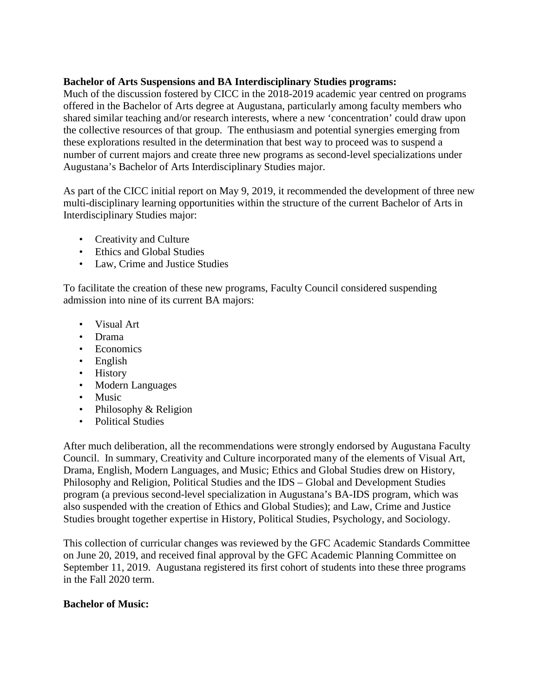#### **Bachelor of Arts Suspensions and BA Interdisciplinary Studies programs:**

Much of the discussion fostered by CICC in the 2018-2019 academic year centred on programs offered in the Bachelor of Arts degree at Augustana, particularly among faculty members who shared similar teaching and/or research interests, where a new 'concentration' could draw upon the collective resources of that group. The enthusiasm and potential synergies emerging from these explorations resulted in the determination that best way to proceed was to suspend a number of current majors and create three new programs as second-level specializations under Augustana's Bachelor of Arts Interdisciplinary Studies major.

As part of the CICC initial report on May 9, 2019, it recommended the development of three new multi-disciplinary learning opportunities within the structure of the current Bachelor of Arts in Interdisciplinary Studies major:

- Creativity and Culture
- Ethics and Global Studies
- Law, Crime and Justice Studies

To facilitate the creation of these new programs, Faculty Council considered suspending admission into nine of its current BA majors:

- Visual Art
- Drama
- Economics
- English
- History
- Modern Languages
- Music
- Philosophy & Religion
- Political Studies

After much deliberation, all the recommendations were strongly endorsed by Augustana Faculty Council. In summary, Creativity and Culture incorporated many of the elements of Visual Art, Drama, English, Modern Languages, and Music; Ethics and Global Studies drew on History, Philosophy and Religion, Political Studies and the IDS – Global and Development Studies program (a previous second-level specialization in Augustana's BA-IDS program, which was also suspended with the creation of Ethics and Global Studies); and Law, Crime and Justice Studies brought together expertise in History, Political Studies, Psychology, and Sociology.

This collection of curricular changes was reviewed by the GFC Academic Standards Committee on June 20, 2019, and received final approval by the GFC Academic Planning Committee on September 11, 2019. Augustana registered its first cohort of students into these three programs in the Fall 2020 term.

### **Bachelor of Music:**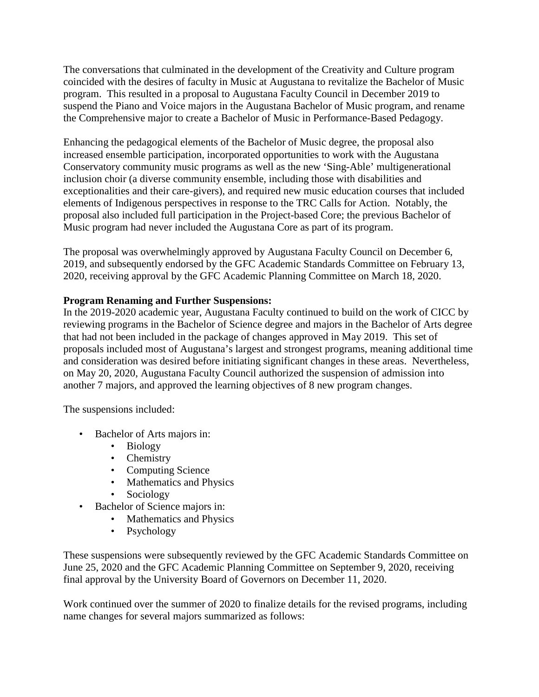The conversations that culminated in the development of the Creativity and Culture program coincided with the desires of faculty in Music at Augustana to revitalize the Bachelor of Music program. This resulted in a proposal to Augustana Faculty Council in December 2019 to suspend the Piano and Voice majors in the Augustana Bachelor of Music program, and rename the Comprehensive major to create a Bachelor of Music in Performance-Based Pedagogy.

Enhancing the pedagogical elements of the Bachelor of Music degree, the proposal also increased ensemble participation, incorporated opportunities to work with the Augustana Conservatory community music programs as well as the new 'Sing-Able' multigenerational inclusion choir (a diverse community ensemble, including those with disabilities and exceptionalities and their care-givers), and required new music education courses that included elements of Indigenous perspectives in response to the TRC Calls for Action. Notably, the proposal also included full participation in the Project-based Core; the previous Bachelor of Music program had never included the Augustana Core as part of its program.

The proposal was overwhelmingly approved by Augustana Faculty Council on December 6, 2019, and subsequently endorsed by the GFC Academic Standards Committee on February 13, 2020, receiving approval by the GFC Academic Planning Committee on March 18, 2020.

### **Program Renaming and Further Suspensions:**

In the 2019-2020 academic year, Augustana Faculty continued to build on the work of CICC by reviewing programs in the Bachelor of Science degree and majors in the Bachelor of Arts degree that had not been included in the package of changes approved in May 2019. This set of proposals included most of Augustana's largest and strongest programs, meaning additional time and consideration was desired before initiating significant changes in these areas. Nevertheless, on May 20, 2020, Augustana Faculty Council authorized the suspension of admission into another 7 majors, and approved the learning objectives of 8 new program changes.

The suspensions included:

- Bachelor of Arts majors in:
	- Biology
	- Chemistry
	- Computing Science
	- Mathematics and Physics
	- Sociology
- Bachelor of Science majors in:
	- Mathematics and Physics
	- Psychology

These suspensions were subsequently reviewed by the GFC Academic Standards Committee on June 25, 2020 and the GFC Academic Planning Committee on September 9, 2020, receiving final approval by the University Board of Governors on December 11, 2020.

Work continued over the summer of 2020 to finalize details for the revised programs, including name changes for several majors summarized as follows: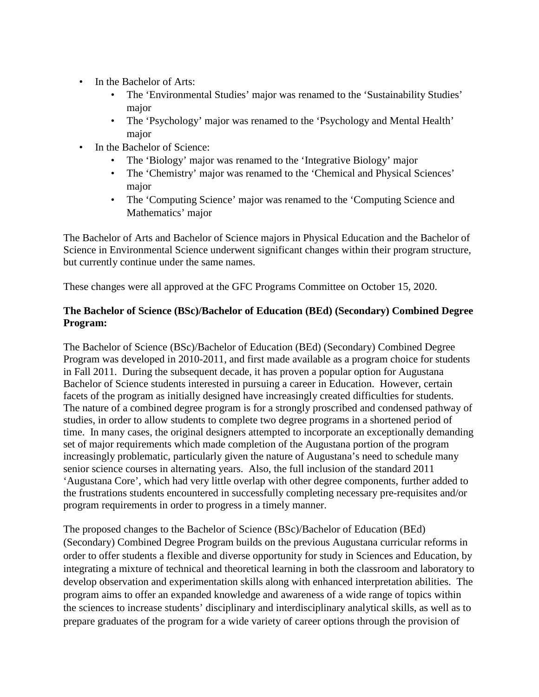- In the Bachelor of Arts:
	- The 'Environmental Studies' major was renamed to the 'Sustainability Studies' major
	- The 'Psychology' major was renamed to the 'Psychology and Mental Health' major
- In the Bachelor of Science:
	- The 'Biology' major was renamed to the 'Integrative Biology' major
	- The 'Chemistry' major was renamed to the 'Chemical and Physical Sciences' major
	- The 'Computing Science' major was renamed to the 'Computing Science and Mathematics' major

The Bachelor of Arts and Bachelor of Science majors in Physical Education and the Bachelor of Science in Environmental Science underwent significant changes within their program structure, but currently continue under the same names.

These changes were all approved at the GFC Programs Committee on October 15, 2020.

### **The Bachelor of Science (BSc)/Bachelor of Education (BEd) (Secondary) Combined Degree Program:**

The Bachelor of Science (BSc)/Bachelor of Education (BEd) (Secondary) Combined Degree Program was developed in 2010-2011, and first made available as a program choice for students in Fall 2011. During the subsequent decade, it has proven a popular option for Augustana Bachelor of Science students interested in pursuing a career in Education. However, certain facets of the program as initially designed have increasingly created difficulties for students. The nature of a combined degree program is for a strongly proscribed and condensed pathway of studies, in order to allow students to complete two degree programs in a shortened period of time. In many cases, the original designers attempted to incorporate an exceptionally demanding set of major requirements which made completion of the Augustana portion of the program increasingly problematic, particularly given the nature of Augustana's need to schedule many senior science courses in alternating years. Also, the full inclusion of the standard 2011 'Augustana Core', which had very little overlap with other degree components, further added to the frustrations students encountered in successfully completing necessary pre-requisites and/or program requirements in order to progress in a timely manner.

The proposed changes to the Bachelor of Science (BSc)/Bachelor of Education (BEd) (Secondary) Combined Degree Program builds on the previous Augustana curricular reforms in order to offer students a flexible and diverse opportunity for study in Sciences and Education, by integrating a mixture of technical and theoretical learning in both the classroom and laboratory to develop observation and experimentation skills along with enhanced interpretation abilities. The program aims to offer an expanded knowledge and awareness of a wide range of topics within the sciences to increase students' disciplinary and interdisciplinary analytical skills, as well as to prepare graduates of the program for a wide variety of career options through the provision of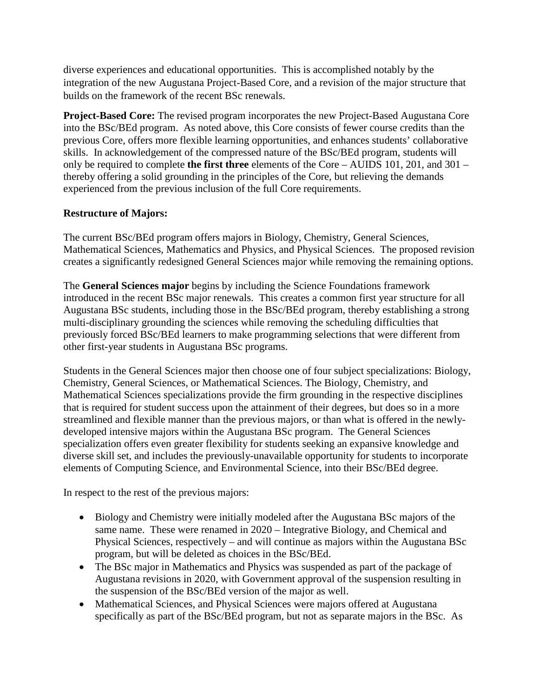diverse experiences and educational opportunities. This is accomplished notably by the integration of the new Augustana Project-Based Core, and a revision of the major structure that builds on the framework of the recent BSc renewals.

**Project-Based Core:** The revised program incorporates the new Project-Based Augustana Core into the BSc/BEd program. As noted above, this Core consists of fewer course credits than the previous Core, offers more flexible learning opportunities, and enhances students' collaborative skills. In acknowledgement of the compressed nature of the BSc/BEd program, students will only be required to complete **the first three** elements of the Core – AUIDS 101, 201, and 301 – thereby offering a solid grounding in the principles of the Core, but relieving the demands experienced from the previous inclusion of the full Core requirements.

### **Restructure of Majors:**

The current BSc/BEd program offers majors in Biology, Chemistry, General Sciences, Mathematical Sciences, Mathematics and Physics, and Physical Sciences. The proposed revision creates a significantly redesigned General Sciences major while removing the remaining options.

The **General Sciences major** begins by including the Science Foundations framework introduced in the recent BSc major renewals. This creates a common first year structure for all Augustana BSc students, including those in the BSc/BEd program, thereby establishing a strong multi-disciplinary grounding the sciences while removing the scheduling difficulties that previously forced BSc/BEd learners to make programming selections that were different from other first-year students in Augustana BSc programs.

Students in the General Sciences major then choose one of four subject specializations: Biology, Chemistry, General Sciences, or Mathematical Sciences. The Biology, Chemistry, and Mathematical Sciences specializations provide the firm grounding in the respective disciplines that is required for student success upon the attainment of their degrees, but does so in a more streamlined and flexible manner than the previous majors, or than what is offered in the newlydeveloped intensive majors within the Augustana BSc program. The General Sciences specialization offers even greater flexibility for students seeking an expansive knowledge and diverse skill set, and includes the previously-unavailable opportunity for students to incorporate elements of Computing Science, and Environmental Science, into their BSc/BEd degree.

In respect to the rest of the previous majors:

- Biology and Chemistry were initially modeled after the Augustana BSc majors of the same name. These were renamed in 2020 – Integrative Biology, and Chemical and Physical Sciences, respectively – and will continue as majors within the Augustana BSc program, but will be deleted as choices in the BSc/BEd.
- The BSc major in Mathematics and Physics was suspended as part of the package of Augustana revisions in 2020, with Government approval of the suspension resulting in the suspension of the BSc/BEd version of the major as well.
- Mathematical Sciences, and Physical Sciences were majors offered at Augustana specifically as part of the BSc/BEd program, but not as separate majors in the BSc. As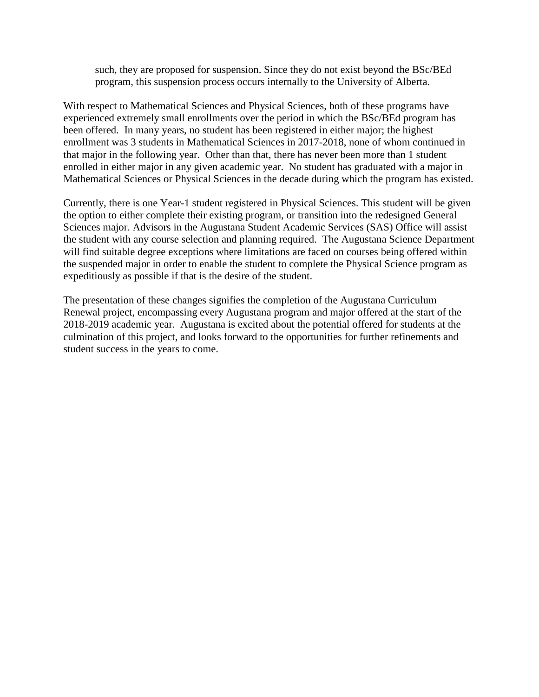such, they are proposed for suspension. Since they do not exist beyond the BSc/BEd program, this suspension process occurs internally to the University of Alberta.

With respect to Mathematical Sciences and Physical Sciences, both of these programs have experienced extremely small enrollments over the period in which the BSc/BEd program has been offered. In many years, no student has been registered in either major; the highest enrollment was 3 students in Mathematical Sciences in 2017-2018, none of whom continued in that major in the following year. Other than that, there has never been more than 1 student enrolled in either major in any given academic year. No student has graduated with a major in Mathematical Sciences or Physical Sciences in the decade during which the program has existed.

Currently, there is one Year-1 student registered in Physical Sciences. This student will be given the option to either complete their existing program, or transition into the redesigned General Sciences major. Advisors in the Augustana Student Academic Services (SAS) Office will assist the student with any course selection and planning required. The Augustana Science Department will find suitable degree exceptions where limitations are faced on courses being offered within the suspended major in order to enable the student to complete the Physical Science program as expeditiously as possible if that is the desire of the student.

The presentation of these changes signifies the completion of the Augustana Curriculum Renewal project, encompassing every Augustana program and major offered at the start of the 2018-2019 academic year. Augustana is excited about the potential offered for students at the culmination of this project, and looks forward to the opportunities for further refinements and student success in the years to come.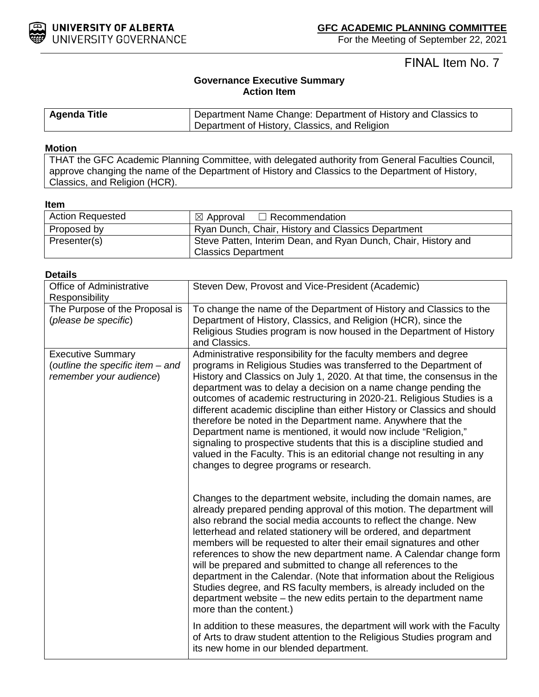

# FINAL Item No. 7

### **Governance Executive Summary Action Item**

| <b>Agenda Title</b> | Department Name Change: Department of History and Classics to |
|---------------------|---------------------------------------------------------------|
|                     | Department of History, Classics, and Religion                 |

#### **Motion**

THAT the GFC Academic Planning Committee, with delegated authority from General Faculties Council, approve changing the name of the Department of History and Classics to the Department of History, Classics, and Religion (HCR).

#### **Item**

| <b>Action Requested</b> | $\boxtimes$ Approval $\Box$ Recommendation                     |
|-------------------------|----------------------------------------------------------------|
| Proposed by             | Ryan Dunch, Chair, History and Classics Department             |
| Presenter(s)            | Steve Patten, Interim Dean, and Ryan Dunch, Chair, History and |
|                         | <b>Classics Department</b>                                     |

| Details                                                                                 |                                                                                                                                                                                                                                                                                                                                                                                                                                                                                                                                                                                                                                                                                                                                                                               |
|-----------------------------------------------------------------------------------------|-------------------------------------------------------------------------------------------------------------------------------------------------------------------------------------------------------------------------------------------------------------------------------------------------------------------------------------------------------------------------------------------------------------------------------------------------------------------------------------------------------------------------------------------------------------------------------------------------------------------------------------------------------------------------------------------------------------------------------------------------------------------------------|
| Office of Administrative<br>Responsibility                                              | Steven Dew, Provost and Vice-President (Academic)                                                                                                                                                                                                                                                                                                                                                                                                                                                                                                                                                                                                                                                                                                                             |
| The Purpose of the Proposal is<br>(please be specific)                                  | To change the name of the Department of History and Classics to the<br>Department of History, Classics, and Religion (HCR), since the<br>Religious Studies program is now housed in the Department of History<br>and Classics.                                                                                                                                                                                                                                                                                                                                                                                                                                                                                                                                                |
| <b>Executive Summary</b><br>(outline the specific item - and<br>remember your audience) | Administrative responsibility for the faculty members and degree<br>programs in Religious Studies was transferred to the Department of<br>History and Classics on July 1, 2020. At that time, the consensus in the<br>department was to delay a decision on a name change pending the<br>outcomes of academic restructuring in 2020-21. Religious Studies is a<br>different academic discipline than either History or Classics and should<br>therefore be noted in the Department name. Anywhere that the<br>Department name is mentioned, it would now include "Religion,"<br>signaling to prospective students that this is a discipline studied and<br>valued in the Faculty. This is an editorial change not resulting in any<br>changes to degree programs or research. |
|                                                                                         | Changes to the department website, including the domain names, are<br>already prepared pending approval of this motion. The department will<br>also rebrand the social media accounts to reflect the change. New<br>letterhead and related stationery will be ordered, and department<br>members will be requested to alter their email signatures and other<br>references to show the new department name. A Calendar change form<br>will be prepared and submitted to change all references to the<br>department in the Calendar. (Note that information about the Religious<br>Studies degree, and RS faculty members, is already included on the<br>department website – the new edits pertain to the department name<br>more than the content.)                          |
|                                                                                         | In addition to these measures, the department will work with the Faculty<br>of Arts to draw student attention to the Religious Studies program and<br>its new home in our blended department.                                                                                                                                                                                                                                                                                                                                                                                                                                                                                                                                                                                 |

#### **1 Details**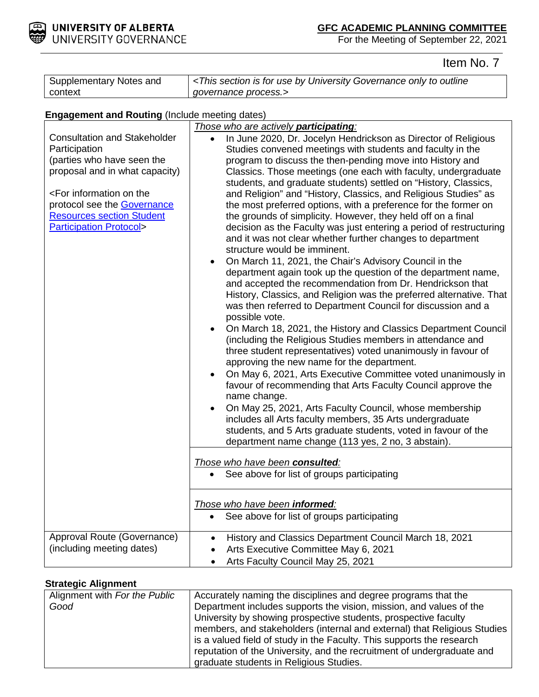

Item No. 7

| Supplementary Notes and | <this by="" for="" governance="" is="" only="" outline<="" section="" th="" to="" university="" use=""></this> |
|-------------------------|----------------------------------------------------------------------------------------------------------------|
| context                 | qovernance process.>                                                                                           |

# **Engagement and Routing (Include meeting dates)**

| <b>Consultation and Stakeholder</b><br>Participation<br>(parties who have seen the<br>proposal and in what capacity)<br><for information="" on="" the<br="">protocol see the <b>Governance</b><br/><b>Resources section Student</b><br/><b>Participation Protocol&gt;</b></for> | Those who are actively participating:<br>In June 2020, Dr. Jocelyn Hendrickson as Director of Religious<br>Studies convened meetings with students and faculty in the<br>program to discuss the then-pending move into History and<br>Classics. Those meetings (one each with faculty, undergraduate<br>students, and graduate students) settled on "History, Classics,<br>and Religion" and "History, Classics, and Religious Studies" as<br>the most preferred options, with a preference for the former on<br>the grounds of simplicity. However, they held off on a final<br>decision as the Faculty was just entering a period of restructuring<br>and it was not clear whether further changes to department<br>structure would be imminent.<br>On March 11, 2021, the Chair's Advisory Council in the<br>department again took up the question of the department name,<br>and accepted the recommendation from Dr. Hendrickson that<br>History, Classics, and Religion was the preferred alternative. That<br>was then referred to Department Council for discussion and a<br>possible vote.<br>On March 18, 2021, the History and Classics Department Council<br>(including the Religious Studies members in attendance and<br>three student representatives) voted unanimously in favour of<br>approving the new name for the department.<br>On May 6, 2021, Arts Executive Committee voted unanimously in<br>favour of recommending that Arts Faculty Council approve the<br>name change.<br>On May 25, 2021, Arts Faculty Council, whose membership<br>includes all Arts faculty members, 35 Arts undergraduate<br>students, and 5 Arts graduate students, voted in favour of the<br>department name change (113 yes, 2 no, 3 abstain).<br>Those who have been consulted:<br>See above for list of groups participating |  |  |
|---------------------------------------------------------------------------------------------------------------------------------------------------------------------------------------------------------------------------------------------------------------------------------|------------------------------------------------------------------------------------------------------------------------------------------------------------------------------------------------------------------------------------------------------------------------------------------------------------------------------------------------------------------------------------------------------------------------------------------------------------------------------------------------------------------------------------------------------------------------------------------------------------------------------------------------------------------------------------------------------------------------------------------------------------------------------------------------------------------------------------------------------------------------------------------------------------------------------------------------------------------------------------------------------------------------------------------------------------------------------------------------------------------------------------------------------------------------------------------------------------------------------------------------------------------------------------------------------------------------------------------------------------------------------------------------------------------------------------------------------------------------------------------------------------------------------------------------------------------------------------------------------------------------------------------------------------------------------------------------------------------------------------------------------------------------------------------------------------------------------------|--|--|
| Approval Route (Governance)                                                                                                                                                                                                                                                     | Those who have been informed:<br>See above for list of groups participating<br>$\bullet$<br>History and Classics Department Council March 18, 2021<br>$\bullet$                                                                                                                                                                                                                                                                                                                                                                                                                                                                                                                                                                                                                                                                                                                                                                                                                                                                                                                                                                                                                                                                                                                                                                                                                                                                                                                                                                                                                                                                                                                                                                                                                                                                    |  |  |
| (including meeting dates)                                                                                                                                                                                                                                                       | Arts Executive Committee May 6, 2021<br>$\bullet$<br>Arts Faculty Council May 25, 2021<br>$\bullet$                                                                                                                                                                                                                                                                                                                                                                                                                                                                                                                                                                                                                                                                                                                                                                                                                                                                                                                                                                                                                                                                                                                                                                                                                                                                                                                                                                                                                                                                                                                                                                                                                                                                                                                                |  |  |

#### **Strategic Alignment**

| Alignment with For the Public | Accurately naming the disciplines and degree programs that the           |  |
|-------------------------------|--------------------------------------------------------------------------|--|
| Good                          | Department includes supports the vision, mission, and values of the      |  |
|                               | University by showing prospective students, prospective faculty          |  |
|                               | members, and stakeholders (internal and external) that Religious Studies |  |
|                               | is a valued field of study in the Faculty. This supports the research    |  |
|                               | reputation of the University, and the recruitment of undergraduate and   |  |
|                               | graduate students in Religious Studies.                                  |  |